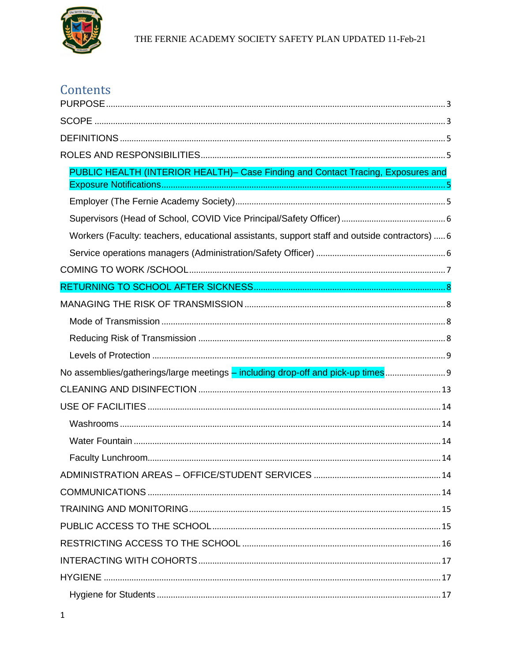

# Contents

| PUBLIC HEALTH (INTERIOR HEALTH)- Case Finding and Contact Tracing, Exposures and              |
|-----------------------------------------------------------------------------------------------|
|                                                                                               |
|                                                                                               |
|                                                                                               |
| Workers (Faculty: teachers, educational assistants, support staff and outside contractors)  6 |
|                                                                                               |
|                                                                                               |
|                                                                                               |
|                                                                                               |
|                                                                                               |
|                                                                                               |
|                                                                                               |
| No assemblies/gatherings/large meetings - including drop-off and pick-up times 9              |
|                                                                                               |
|                                                                                               |
|                                                                                               |
|                                                                                               |
|                                                                                               |
|                                                                                               |
|                                                                                               |
|                                                                                               |
|                                                                                               |
|                                                                                               |
|                                                                                               |
|                                                                                               |
|                                                                                               |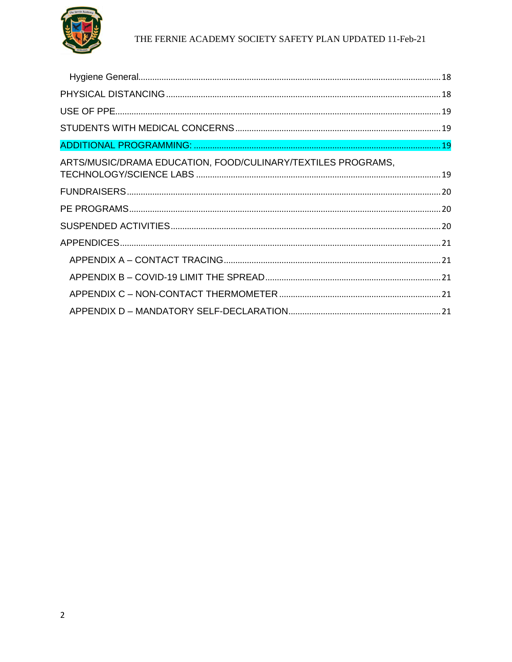

| ARTS/MUSIC/DRAMA EDUCATION, FOOD/CULINARY/TEXTILES PROGRAMS, |  |
|--------------------------------------------------------------|--|
|                                                              |  |
|                                                              |  |
|                                                              |  |
|                                                              |  |
|                                                              |  |
|                                                              |  |
|                                                              |  |
|                                                              |  |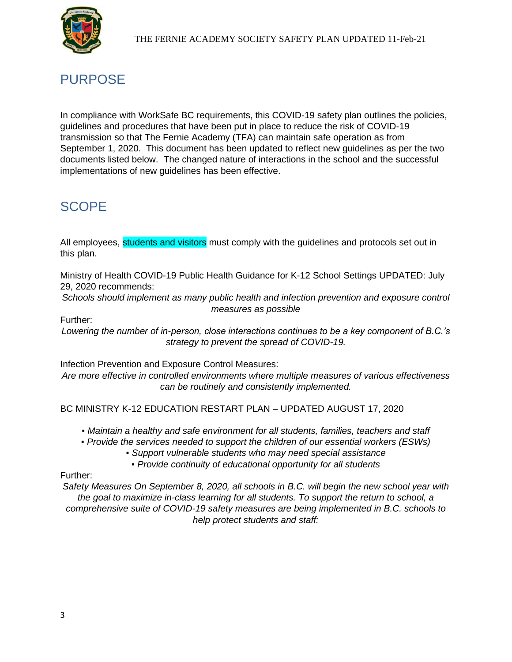

## <span id="page-2-0"></span>**PURPOSE**

In compliance with WorkSafe BC requirements, this COVID-19 safety plan outlines the policies, guidelines and procedures that have been put in place to reduce the risk of COVID-19 transmission so that The Fernie Academy (TFA) can maintain safe operation as from September 1, 2020. This document has been updated to reflect new guidelines as per the two documents listed below. The changed nature of interactions in the school and the successful implementations of new guidelines has been effective.

## <span id="page-2-1"></span>SCOPE

All employees, students and visitors must comply with the guidelines and protocols set out in this plan.

Ministry of Health COVID-19 Public Health Guidance for K-12 School Settings UPDATED: July 29, 2020 recommends:

*Schools should implement as many public health and infection prevention and exposure control measures as possible*

Further:

*Lowering the number of in-person, close interactions continues to be a key component of B.C.'s strategy to prevent the spread of COVID-19.* 

Infection Prevention and Exposure Control Measures:

*Are more effective in controlled environments where multiple measures of various effectiveness can be routinely and consistently implemented.*

BC MINISTRY K-12 EDUCATION RESTART PLAN – UPDATED AUGUST 17, 2020

*▪ Maintain a healthy and safe environment for all students, families, teachers and staff*

*▪ Provide the services needed to support the children of our essential workers (ESWs)*

*▪ Support vulnerable students who may need special assistance*

*▪ Provide continuity of educational opportunity for all students*

Further:

*Safety Measures On September 8, 2020, all schools in B.C. will begin the new school year with the goal to maximize in-class learning for all students. To support the return to school, a comprehensive suite of COVID-19 safety measures are being implemented in B.C. schools to help protect students and staff:*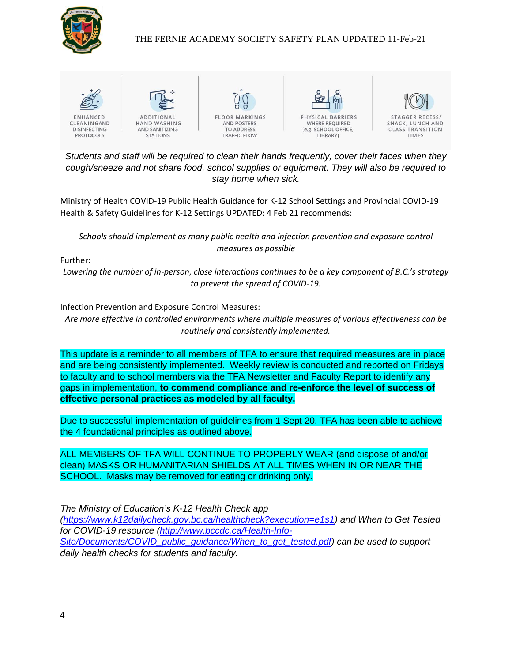

#### THE FERNIE ACADEMY SOCIETY SAFETY PLAN UPDATED 11-Feb-21



*Students and staff will be required to clean their hands frequently, cover their faces when they cough/sneeze and not share food, school supplies or equipment. They will also be required to stay home when sick.*

Ministry of Health COVID-19 Public Health Guidance for K-12 School Settings and Provincial COVID-19 Health & Safety Guidelines for K-12 Settings UPDATED: 4 Feb 21 recommends:

*Schools should implement as many public health and infection prevention and exposure control measures as possible*

Further:

*Lowering the number of in-person, close interactions continues to be a key component of B.C.'s strategy to prevent the spread of COVID-19.* 

Infection Prevention and Exposure Control Measures:

*Are more effective in controlled environments where multiple measures of various effectiveness can be routinely and consistently implemented.*

This update is a reminder to all members of TFA to ensure that required measures are in place and are being consistently implemented. Weekly review is conducted and reported on Fridays to faculty and to school members via the TFA Newsletter and Faculty Report to identify any gaps in implementation, **to commend compliance and re-enforce the level of success of effective personal practices as modeled by all faculty.**

Due to successful implementation of guidelines from 1 Sept 20, TFA has been able to achieve the 4 foundational principles as outlined above.

ALL MEMBERS OF TFA WILL CONTINUE TO PROPERLY WEAR (and dispose of and/or clean) MASKS OR HUMANITARIAN SHIELDS AT ALL TIMES WHEN IN OR NEAR THE SCHOOL. Masks may be removed for eating or drinking only.

*The Ministry of Education's K-12 Health Check app* 

*[\(https://www.k12dailycheck.gov.bc.ca/healthcheck?execution=e1s1\)](https://www.k12dailycheck.gov.bc.ca/healthcheck?execution=e1s1) and When to Get Tested for COVID-19 resource [\(http://www.bccdc.ca/Health-Info-](http://www.bccdc.ca/Health-Info-Site/Documents/COVID_public_guidance/When_to_get_tested.pdf)[Site/Documents/COVID\\_public\\_guidance/When\\_to\\_get\\_tested.pdf\)](http://www.bccdc.ca/Health-Info-Site/Documents/COVID_public_guidance/When_to_get_tested.pdf) can be used to support daily health checks for students and faculty.*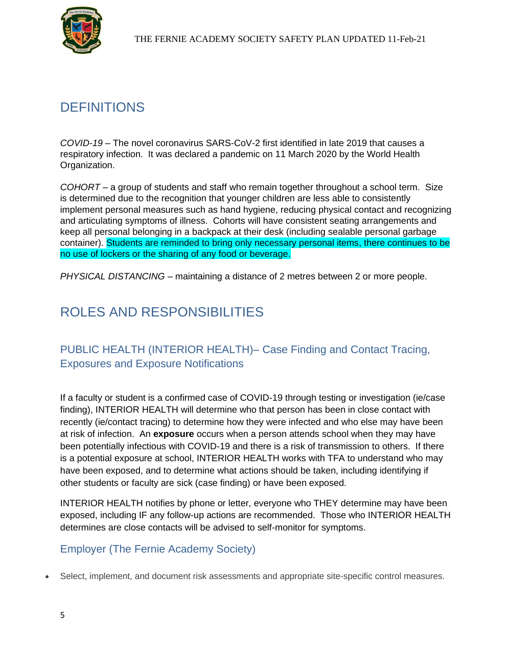

# <span id="page-4-0"></span>**DEFINITIONS**

*COVID-19* – The novel coronavirus SARS-CoV-2 first identified in late 2019 that causes a respiratory infection. It was declared a pandemic on 11 March 2020 by the World Health Organization.

*COHORT* – a group of students and staff who remain together throughout a school term. Size is determined due to the recognition that younger children are less able to consistently implement personal measures such as hand hygiene, reducing physical contact and recognizing and articulating symptoms of illness. Cohorts will have consistent seating arrangements and keep all personal belonging in a backpack at their desk (including sealable personal garbage container). Students are reminded to bring only necessary personal items, there continues to be no use of lockers or the sharing of any food or beverage.

*PHYSICAL DISTANCING* – maintaining a distance of 2 metres between 2 or more people.

## <span id="page-4-1"></span>ROLES AND RESPONSIBILITIES

### <span id="page-4-2"></span>PUBLIC HEALTH (INTERIOR HEALTH)– Case Finding and Contact Tracing, Exposures and Exposure Notifications

If a faculty or student is a confirmed case of COVID-19 through testing or investigation (ie/case finding), INTERIOR HEALTH will determine who that person has been in close contact with recently (ie/contact tracing) to determine how they were infected and who else may have been at risk of infection. An **exposure** occurs when a person attends school when they may have been potentially infectious with COVID-19 and there is a risk of transmission to others. If there is a potential exposure at school, INTERIOR HEALTH works with TFA to understand who may have been exposed, and to determine what actions should be taken, including identifying if other students or faculty are sick (case finding) or have been exposed.

INTERIOR HEALTH notifies by phone or letter, everyone who THEY determine may have been exposed, including IF any follow-up actions are recommended. Those who INTERIOR HEALTH determines are close contacts will be advised to self-monitor for symptoms.

### <span id="page-4-3"></span>Employer (The Fernie Academy Society)

• Select, implement, and document risk assessments and appropriate site-specific control measures.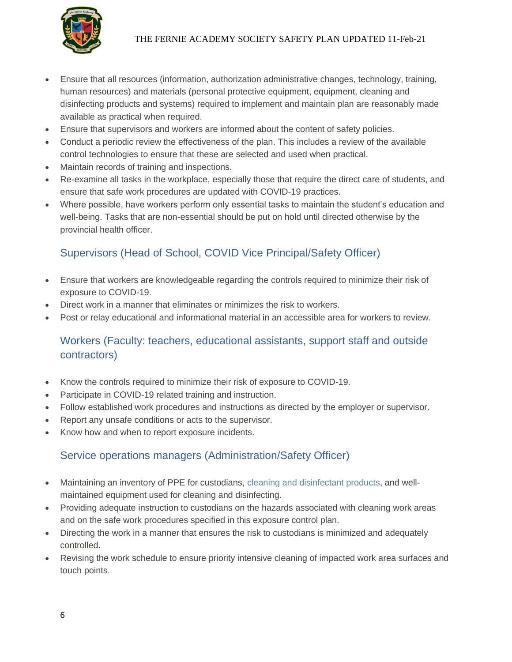

- Ensure that all resources (information, authorization administrative changes, technology, training, human resources) and materials (personal protective equipment, equipment, cleaning and disinfecting products and systems) required to implement and maintain plan are reasonably made available as practical when required.
- Ensure that supervisors and workers are informed about the content of safety policies.
- Conduct a periodic review the effectiveness of the plan. This includes a review of the available control technologies to ensure that these are selected and used when practical.
- Maintain records of training and inspections.
- Re-examine all tasks in the workplace, especially those that require the direct care of students, and ensure that safe work procedures are updated with COVID-19 practices.
- Where possible, have workers perform only essential tasks to maintain the student's education and well-being. Tasks that are non-essential should be put on hold until directed otherwise by the provincial health officer.

### <span id="page-5-0"></span>Supervisors (Head of School, COVID Vice Principal/Safety Officer)

- Ensure that workers are knowledgeable regarding the controls required to minimize their risk of exposure to COVID-19.
- Direct work in a manner that eliminates or minimizes the risk to workers.
- Post or relay educational and informational material in an accessible area for workers to review.

### <span id="page-5-1"></span>Workers (Faculty: teachers, educational assistants, support staff and outside contractors)

- Know the controls required to minimize their risk of exposure to COVID-19.
- Participate in COVID-19 related training and instruction.
- Follow established work procedures and instructions as directed by the employer or supervisor.
- Report any unsafe conditions or acts to the supervisor.
- Know how and when to report exposure incidents.

### <span id="page-5-2"></span>Service operations managers (Administration/Safety Officer)

- Maintaining an inventory of PPE for custodians, [cleaning and disinfectant products,](https://www.worksafebc.com/en/resources/health-safety/information-sheets/covid-19-health-safety-cleaning-disinfecting?lang=en) and wellmaintained equipment used for cleaning and disinfecting.
- Providing adequate instruction to custodians on the hazards associated with cleaning work areas and on the safe work procedures specified in this exposure control plan.
- Directing the work in a manner that ensures the risk to custodians is minimized and adequately controlled.
- Revising the work schedule to ensure priority intensive cleaning of impacted work area surfaces and touch points.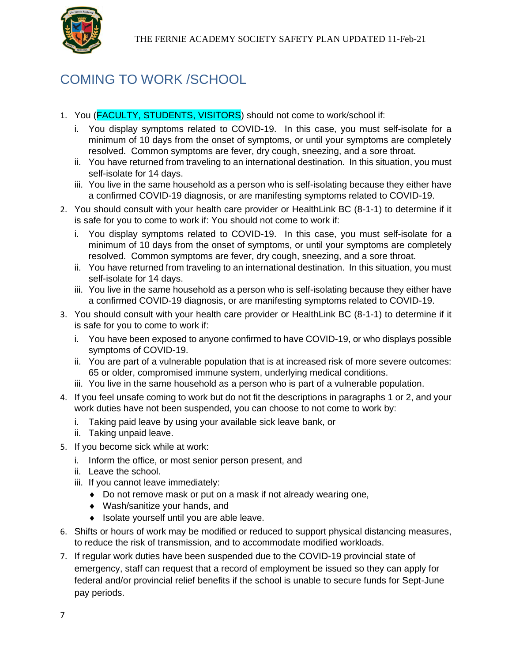

# <span id="page-6-0"></span>COMING TO WORK /SCHOOL

- 1. You (FACULTY, STUDENTS, VISITORS) should not come to work/school if:
	- i. You display symptoms related to COVID-19. In this case, you must self-isolate for a minimum of 10 days from the onset of symptoms, or until your symptoms are completely resolved. Common symptoms are fever, dry cough, sneezing, and a sore throat.
	- ii. You have returned from traveling to an international destination. In this situation, you must self-isolate for 14 days.
	- iii. You live in the same household as a person who is self-isolating because they either have a confirmed COVID-19 diagnosis, or are manifesting symptoms related to COVID-19.
- 2. You should consult with your health care provider or HealthLink BC (8-1-1) to determine if it is safe for you to come to work if: You should not come to work if:
	- i. You display symptoms related to COVID-19. In this case, you must self-isolate for a minimum of 10 days from the onset of symptoms, or until your symptoms are completely resolved. Common symptoms are fever, dry cough, sneezing, and a sore throat.
	- ii. You have returned from traveling to an international destination. In this situation, you must self-isolate for 14 days.
	- iii. You live in the same household as a person who is self-isolating because they either have a confirmed COVID-19 diagnosis, or are manifesting symptoms related to COVID-19.
- 3. You should consult with your health care provider or HealthLink BC (8-1-1) to determine if it is safe for you to come to work if:
	- i. You have been exposed to anyone confirmed to have COVID-19, or who displays possible symptoms of COVID-19.
	- ii. You are part of a vulnerable population that is at increased risk of more severe outcomes: 65 or older, compromised immune system, underlying medical conditions.
	- iii. You live in the same household as a person who is part of a vulnerable population.
- 4. If you feel unsafe coming to work but do not fit the descriptions in paragraphs 1 or 2, and your work duties have not been suspended, you can choose to not come to work by:
	- i. Taking paid leave by using your available sick leave bank, or
	- ii. Taking unpaid leave.
- 5. If you become sick while at work:
	- i. Inform the office, or most senior person present, and
	- ii. Leave the school.
	- iii. If you cannot leave immediately:
		- Do not remove mask or put on a mask if not already wearing one,
		- Wash/sanitize your hands, and
		- $\bullet$  Isolate yourself until you are able leave.
- 6. Shifts or hours of work may be modified or reduced to support physical distancing measures, to reduce the risk of transmission, and to accommodate modified workloads.
- 7. If regular work duties have been suspended due to the COVID-19 provincial state of emergency, staff can request that a record of employment be issued so they can apply for federal and/or provincial relief benefits if the school is unable to secure funds for Sept-June pay periods.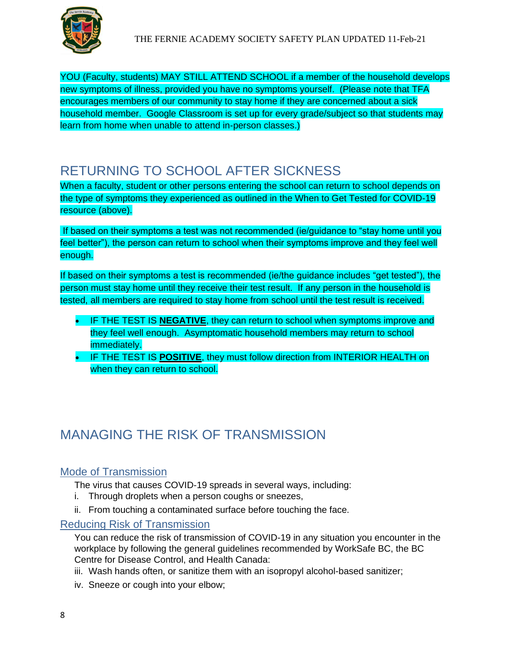

YOU (Faculty, students) MAY STILL ATTEND SCHOOL if a member of the household develops new symptoms of illness, provided you have no symptoms yourself. (Please note that TFA encourages members of our community to stay home if they are concerned about a sick household member. Google Classroom is set up for every grade/subject so that students may learn from home when unable to attend in-person classes.)

## <span id="page-7-0"></span>RETURNING TO SCHOOL AFTER SICKNESS

When a faculty, student or other persons entering the school can return to school depends on the type of symptoms they experienced as outlined in the When to Get Tested for COVID-19 resource (above).

If based on their symptoms a test was not recommended (ie/guidance to "stay home until you feel better"), the person can return to school when their symptoms improve and they feel well enough.

If based on their symptoms a test is recommended (ie/the guidance includes "get tested"), the person must stay home until they receive their test result. If any person in the household is tested, all members are required to stay home from school until the test result is received.

- IF THE TEST IS **NEGATIVE**, they can return to school when symptoms improve and they feel well enough. Asymptomatic household members may return to school immediately.
- IF THE TEST IS **POSITIVE**, they must follow direction from INTERIOR HEALTH on when they can return to school.

# <span id="page-7-1"></span>MANAGING THE RISK OF TRANSMISSION

### <span id="page-7-2"></span>Mode of Transmission

The virus that causes COVID-19 spreads in several ways, including:

- i. Through droplets when a person coughs or sneezes,
- ii. From touching a contaminated surface before touching the face.

#### <span id="page-7-3"></span>Reducing Risk of Transmission

You can reduce the risk of transmission of COVID-19 in any situation you encounter in the workplace by following the general guidelines recommended by WorkSafe BC, the BC Centre for Disease Control, and Health Canada:

- iii. Wash hands often, or sanitize them with an isopropyl alcohol-based sanitizer;
- iv. Sneeze or cough into your elbow;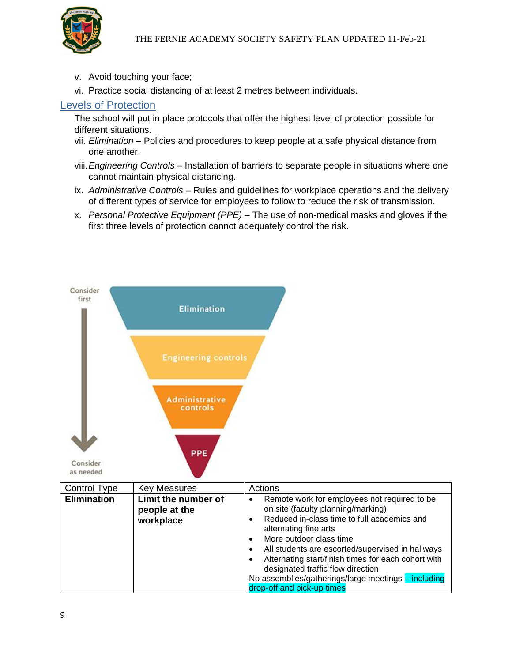- v. Avoid touching your face;
- vi. Practice social distancing of at least 2 metres between individuals.

#### <span id="page-8-0"></span>Levels of Protection

The school will put in place protocols that offer the highest level of protection possible for different situations.

- vii. *Elimination* Policies and procedures to keep people at a safe physical distance from one another.
- viii.*Engineering Controls* Installation of barriers to separate people in situations where one cannot maintain physical distancing.
- ix. *Administrative Controls* Rules and guidelines for workplace operations and the delivery of different types of service for employees to follow to reduce the risk of transmission.
- x. *Personal Protective Equipment (PPE)* The use of non-medical masks and gloves if the first three levels of protection cannot adequately control the risk.

<span id="page-8-1"></span>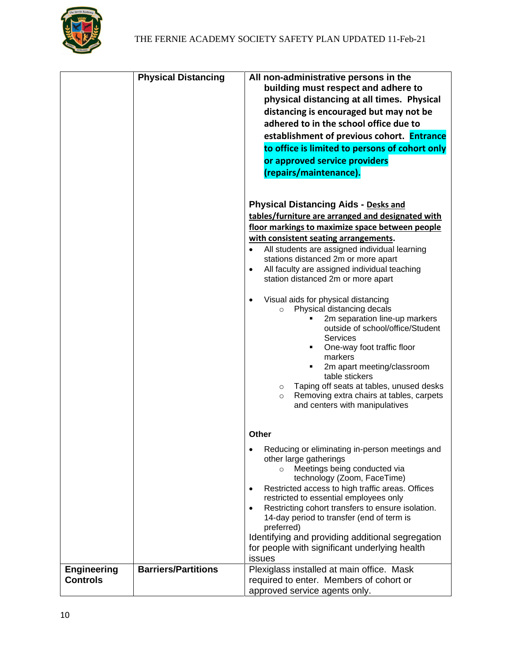

|                                       | <b>Physical Distancing</b> | All non-administrative persons in the<br>building must respect and adhere to<br>physical distancing at all times. Physical<br>distancing is encouraged but may not be<br>adhered to in the school office due to<br>establishment of previous cohort. Entrance<br>to office is limited to persons of cohort only<br>or approved service providers<br>(repairs/maintenance).                                                                                                                                           |
|---------------------------------------|----------------------------|----------------------------------------------------------------------------------------------------------------------------------------------------------------------------------------------------------------------------------------------------------------------------------------------------------------------------------------------------------------------------------------------------------------------------------------------------------------------------------------------------------------------|
|                                       |                            | <b>Physical Distancing Aids - Desks and</b><br>tables/furniture are arranged and designated with<br>floor markings to maximize space between people<br>with consistent seating arrangements.<br>All students are assigned individual learning<br>$\bullet$<br>stations distanced 2m or more apart<br>All faculty are assigned individual teaching<br>$\bullet$<br>station distanced 2m or more apart                                                                                                                 |
|                                       |                            | Visual aids for physical distancing<br>$\bullet$<br>Physical distancing decals<br>$\circ$<br>2m separation line-up markers<br>outside of school/office/Student<br>Services<br>One-way foot traffic floor<br>markers<br>2m apart meeting/classroom<br>table stickers<br>Taping off seats at tables, unused desks<br>$\circ$<br>Removing extra chairs at tables, carpets<br>$\circ$<br>and centers with manipulatives                                                                                                  |
|                                       |                            | Other<br>Reducing or eliminating in-person meetings and<br>$\bullet$<br>other large gatherings<br>Meetings being conducted via<br>technology (Zoom, FaceTime)<br>Restricted access to high traffic areas. Offices<br>$\bullet$<br>restricted to essential employees only<br>Restricting cohort transfers to ensure isolation.<br>$\bullet$<br>14-day period to transfer (end of term is<br>preferred)<br>Identifying and providing additional segregation<br>for people with significant underlying health<br>issues |
| <b>Engineering</b><br><b>Controls</b> | <b>Barriers/Partitions</b> | Plexiglass installed at main office. Mask<br>required to enter. Members of cohort or<br>approved service agents only.                                                                                                                                                                                                                                                                                                                                                                                                |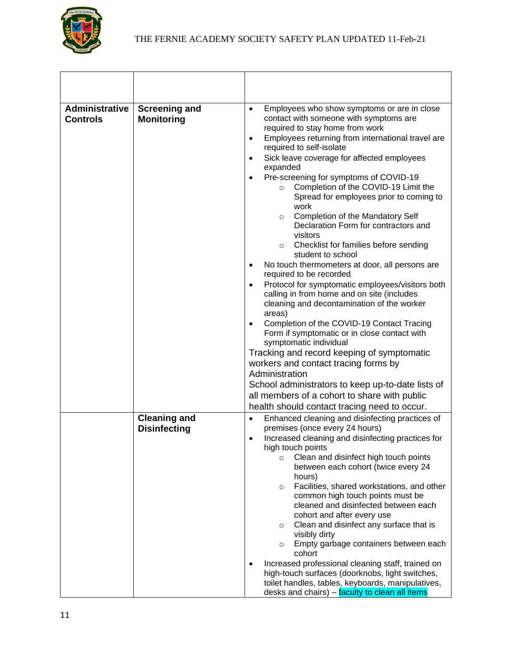

| <b>Administrative</b><br><b>Controls</b> | <b>Screening and</b><br><b>Monitoring</b>  | Employees who show symptoms or are in close<br>$\bullet$<br>contact with someone with symptoms are<br>required to stay home from work<br>Employees returning from international travel are<br>$\bullet$<br>required to self-isolate<br>Sick leave coverage for affected employees<br>$\bullet$<br>expanded<br>Pre-screening for symptoms of COVID-19<br>Completion of the COVID-19 Limit the<br>$\circ$<br>Spread for employees prior to coming to<br>work<br>Completion of the Mandatory Self<br>$\circ$<br>Declaration Form for contractors and<br>visitors<br>Checklist for families before sending<br>$\circ$<br>student to school<br>No touch thermometers at door, all persons are<br>$\bullet$<br>required to be recorded<br>Protocol for symptomatic employees/visitors both<br>$\bullet$<br>calling in from home and on site (includes<br>cleaning and decontamination of the worker<br>areas)<br>Completion of the COVID-19 Contact Tracing<br>Form if symptomatic or in close contact with<br>symptomatic individual<br>Tracking and record keeping of symptomatic<br>workers and contact tracing forms by<br>Administration<br>School administrators to keep up-to-date lists of<br>all members of a cohort to share with public<br>health should contact tracing need to occur. |
|------------------------------------------|--------------------------------------------|----------------------------------------------------------------------------------------------------------------------------------------------------------------------------------------------------------------------------------------------------------------------------------------------------------------------------------------------------------------------------------------------------------------------------------------------------------------------------------------------------------------------------------------------------------------------------------------------------------------------------------------------------------------------------------------------------------------------------------------------------------------------------------------------------------------------------------------------------------------------------------------------------------------------------------------------------------------------------------------------------------------------------------------------------------------------------------------------------------------------------------------------------------------------------------------------------------------------------------------------------------------------------------------------|
|                                          | <b>Cleaning and</b><br><b>Disinfecting</b> | Enhanced cleaning and disinfecting practices of<br>$\bullet$<br>premises (once every 24 hours)<br>Increased cleaning and disinfecting practices for<br>$\bullet$<br>high touch points<br>Clean and disinfect high touch points<br>$\circ$<br>between each cohort (twice every 24<br>hours)<br>Facilities, shared workstations, and other<br>$\circ$<br>common high touch points must be<br>cleaned and disinfected between each<br>cohort and after every use<br>Clean and disinfect any surface that is<br>$\circ$<br>visibly dirty<br>Empty garbage containers between each<br>$\circ$<br>cohort<br>Increased professional cleaning staff, trained on<br>high-touch surfaces (doorknobs, light switches,<br>toilet handles, tables, keyboards, manipulatives,<br>desks and chairs) - faculty to clean all items                                                                                                                                                                                                                                                                                                                                                                                                                                                                            |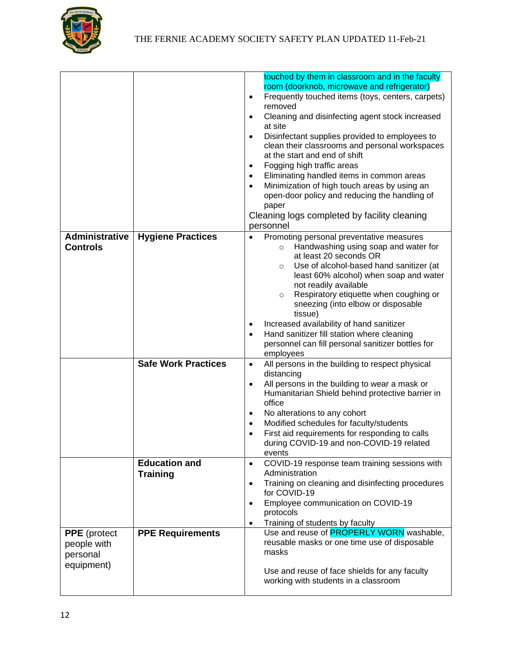

|                                                              |                            | touched by them in classroom and in the faculty<br>room (doorknob, microwave and refrigerator)<br>Frequently touched items (toys, centers, carpets)<br>$\bullet$<br>removed<br>Cleaning and disinfecting agent stock increased<br>$\bullet$<br>at site<br>Disinfectant supplies provided to employees to<br>$\bullet$<br>clean their classrooms and personal workspaces<br>at the start and end of shift<br>Fogging high traffic areas<br>Eliminating handled items in common areas<br>Minimization of high touch areas by using an<br>$\bullet$<br>open-door policy and reducing the handling of<br>paper<br>Cleaning logs completed by facility cleaning<br>personnel |
|--------------------------------------------------------------|----------------------------|-------------------------------------------------------------------------------------------------------------------------------------------------------------------------------------------------------------------------------------------------------------------------------------------------------------------------------------------------------------------------------------------------------------------------------------------------------------------------------------------------------------------------------------------------------------------------------------------------------------------------------------------------------------------------|
| <b>Administrative</b>                                        | <b>Hygiene Practices</b>   | Promoting personal preventative measures<br>$\bullet$                                                                                                                                                                                                                                                                                                                                                                                                                                                                                                                                                                                                                   |
| <b>Controls</b>                                              |                            | Handwashing using soap and water for<br>$\circ$<br>at least 20 seconds OR<br>Use of alcohol-based hand sanitizer (at<br>$\circ$<br>least 60% alcohol) when soap and water<br>not readily available<br>Respiratory etiquette when coughing or<br>$\circ$<br>sneezing (into elbow or disposable<br>tissue)<br>Increased availability of hand sanitizer<br>Hand sanitizer fill station where cleaning<br>personnel can fill personal sanitizer bottles for<br>employees                                                                                                                                                                                                    |
|                                                              | <b>Safe Work Practices</b> | All persons in the building to respect physical<br>$\bullet$                                                                                                                                                                                                                                                                                                                                                                                                                                                                                                                                                                                                            |
|                                                              |                            | distancing<br>All persons in the building to wear a mask or<br>$\bullet$<br>Humanitarian Shield behind protective barrier in<br>office<br>No alterations to any cohort<br>Modified schedules for faculty/students<br>First aid requirements for responding to calls<br>$\bullet$<br>during COVID-19 and non-COVID-19 related<br>events                                                                                                                                                                                                                                                                                                                                  |
|                                                              | <b>Education and</b>       | COVID-19 response team training sessions with<br>$\bullet$                                                                                                                                                                                                                                                                                                                                                                                                                                                                                                                                                                                                              |
|                                                              | <b>Training</b>            | Administration<br>Training on cleaning and disinfecting procedures<br>$\bullet$<br>for COVID-19                                                                                                                                                                                                                                                                                                                                                                                                                                                                                                                                                                         |
|                                                              |                            | Employee communication on COVID-19<br>$\bullet$<br>protocols<br>Training of students by faculty<br>$\bullet$                                                                                                                                                                                                                                                                                                                                                                                                                                                                                                                                                            |
|                                                              |                            | Use and reuse of <b>PROPERLY WORN</b> washable,                                                                                                                                                                                                                                                                                                                                                                                                                                                                                                                                                                                                                         |
| <b>PPE</b> (protect<br>people with<br>personal<br>equipment) | <b>PPE Requirements</b>    | reusable masks or one time use of disposable<br>masks<br>Use and reuse of face shields for any faculty<br>working with students in a classroom                                                                                                                                                                                                                                                                                                                                                                                                                                                                                                                          |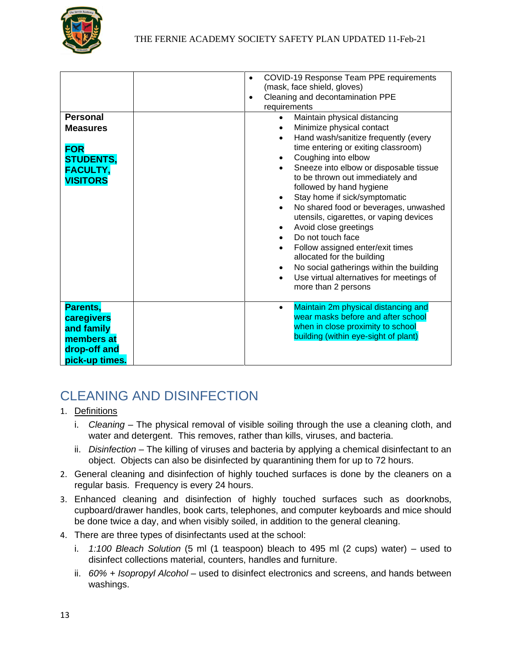

| <b>Personal</b><br><b>Measures</b><br><b>FOR</b><br><b>STUDENTS,</b><br><b>FACULTY,</b><br><b>VISITORS</b> | COVID-19 Response Team PPE requirements<br>$\bullet$<br>(mask, face shield, gloves)<br>Cleaning and decontamination PPE<br>٠<br>requirements<br>Maintain physical distancing<br>$\bullet$<br>Minimize physical contact<br>Hand wash/sanitize frequently (every<br>$\bullet$<br>time entering or exiting classroom)<br>Coughing into elbow<br>$\bullet$<br>Sneeze into elbow or disposable tissue<br>to be thrown out immediately and<br>followed by hand hygiene<br>Stay home if sick/symptomatic |
|------------------------------------------------------------------------------------------------------------|---------------------------------------------------------------------------------------------------------------------------------------------------------------------------------------------------------------------------------------------------------------------------------------------------------------------------------------------------------------------------------------------------------------------------------------------------------------------------------------------------|
|                                                                                                            | No shared food or beverages, unwashed<br>utensils, cigarettes, or vaping devices<br>Avoid close greetings<br>Do not touch face<br>Follow assigned enter/exit times<br>allocated for the building<br>No social gatherings within the building<br>Use virtual alternatives for meetings of<br>more than 2 persons                                                                                                                                                                                   |
| Parents,<br>caregivers<br>and family<br>members at<br>drop-off and<br>pick-up times.                       | Maintain 2m physical distancing and<br>$\bullet$<br>wear masks before and after school<br>when in close proximity to school<br>building (within eye-sight of plant)                                                                                                                                                                                                                                                                                                                               |

# <span id="page-12-0"></span>CLEANING AND DISINFECTION

- 1. Definitions
	- i. *Cleaning* The physical removal of visible soiling through the use a cleaning cloth, and water and detergent. This removes, rather than kills, viruses, and bacteria.
	- ii. *Disinfection* The killing of viruses and bacteria by applying a chemical disinfectant to an object. Objects can also be disinfected by quarantining them for up to 72 hours.
- 2. General cleaning and disinfection of highly touched surfaces is done by the cleaners on a regular basis. Frequency is every 24 hours.
- 3. Enhanced cleaning and disinfection of highly touched surfaces such as doorknobs, cupboard/drawer handles, book carts, telephones, and computer keyboards and mice should be done twice a day, and when visibly soiled, in addition to the general cleaning.
- 4. There are three types of disinfectants used at the school:
	- i. *1:100 Bleach Solution* (5 ml (1 teaspoon) bleach to 495 ml (2 cups) water) used to disinfect collections material, counters, handles and furniture.
	- ii. *60% + Isopropyl Alcohol* used to disinfect electronics and screens, and hands between washings.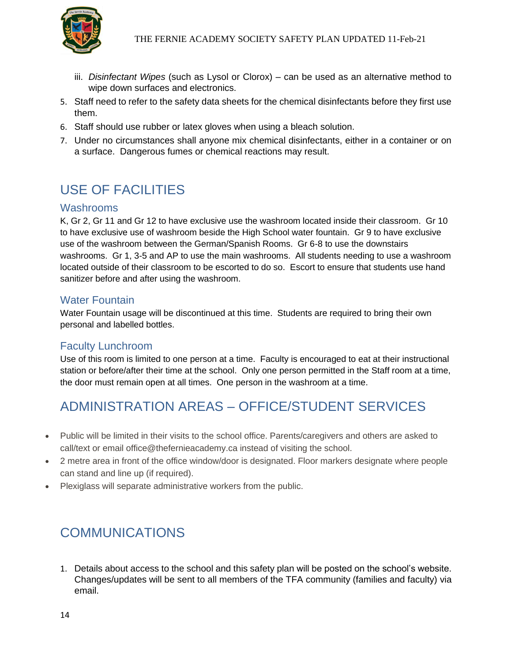

- iii. *Disinfectant Wipes* (such as Lysol or Clorox) can be used as an alternative method to wipe down surfaces and electronics.
- 5. Staff need to refer to the safety data sheets for the chemical disinfectants before they first use them.
- 6. Staff should use rubber or latex gloves when using a bleach solution.
- 7. Under no circumstances shall anyone mix chemical disinfectants, either in a container or on a surface. Dangerous fumes or chemical reactions may result.

# <span id="page-13-0"></span>USE OF FACILITIES

#### <span id="page-13-1"></span>Washrooms

K, Gr 2, Gr 11 and Gr 12 to have exclusive use the washroom located inside their classroom. Gr 10 to have exclusive use of washroom beside the High School water fountain. Gr 9 to have exclusive use of the washroom between the German/Spanish Rooms. Gr 6-8 to use the downstairs washrooms. Gr 1, 3-5 and AP to use the main washrooms. All students needing to use a washroom located outside of their classroom to be escorted to do so. Escort to ensure that students use hand sanitizer before and after using the washroom.

#### <span id="page-13-2"></span>Water Fountain

Water Fountain usage will be discontinued at this time. Students are required to bring their own personal and labelled bottles.

#### <span id="page-13-3"></span>Faculty Lunchroom

Use of this room is limited to one person at a time. Faculty is encouraged to eat at their instructional station or before/after their time at the school. Only one person permitted in the Staff room at a time, the door must remain open at all times. One person in the washroom at a time.

## <span id="page-13-4"></span>ADMINISTRATION AREAS – OFFICE/STUDENT SERVICES

- Public will be limited in their visits to the school office. Parents/caregivers and others are asked to call/text or email office@thefernieacademy.ca instead of visiting the school.
- 2 metre area in front of the office window/door is designated. Floor markers designate where people can stand and line up (if required).
- Plexiglass will separate administrative workers from the public.

### <span id="page-13-5"></span>COMMUNICATIONS

1. Details about access to the school and this safety plan will be posted on the school's website. Changes/updates will be sent to all members of the TFA community (families and faculty) via email.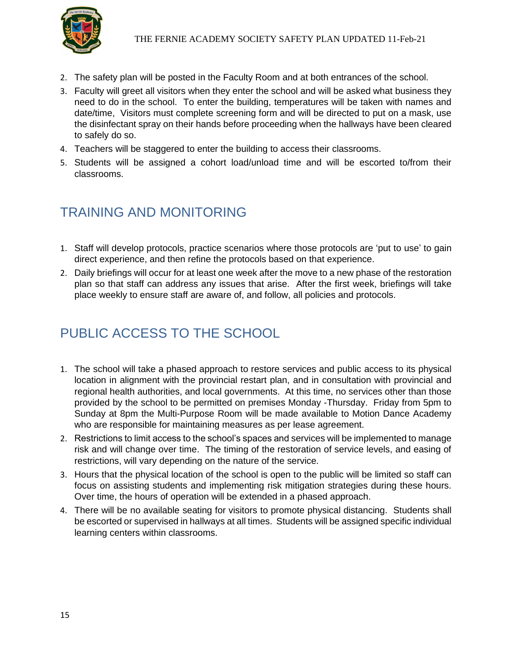

- 2. The safety plan will be posted in the Faculty Room and at both entrances of the school.
- 3. Faculty will greet all visitors when they enter the school and will be asked what business they need to do in the school. To enter the building, temperatures will be taken with names and date/time, Visitors must complete screening form and will be directed to put on a mask, use the disinfectant spray on their hands before proceeding when the hallways have been cleared to safely do so.
- 4. Teachers will be staggered to enter the building to access their classrooms.
- 5. Students will be assigned a cohort load/unload time and will be escorted to/from their classrooms.

## <span id="page-14-0"></span>TRAINING AND MONITORING

- 1. Staff will develop protocols, practice scenarios where those protocols are 'put to use' to gain direct experience, and then refine the protocols based on that experience.
- 2. Daily briefings will occur for at least one week after the move to a new phase of the restoration plan so that staff can address any issues that arise. After the first week, briefings will take place weekly to ensure staff are aware of, and follow, all policies and protocols.

## <span id="page-14-1"></span>PUBLIC ACCESS TO THE SCHOOL

- 1. The school will take a phased approach to restore services and public access to its physical location in alignment with the provincial restart plan, and in consultation with provincial and regional health authorities, and local governments. At this time, no services other than those provided by the school to be permitted on premises Monday -Thursday. Friday from 5pm to Sunday at 8pm the Multi-Purpose Room will be made available to Motion Dance Academy who are responsible for maintaining measures as per lease agreement.
- 2. Restrictions to limit access to the school's spaces and services will be implemented to manage risk and will change over time. The timing of the restoration of service levels, and easing of restrictions, will vary depending on the nature of the service.
- 3. Hours that the physical location of the school is open to the public will be limited so staff can focus on assisting students and implementing risk mitigation strategies during these hours. Over time, the hours of operation will be extended in a phased approach.
- 4. There will be no available seating for visitors to promote physical distancing. Students shall be escorted or supervised in hallways at all times. Students will be assigned specific individual learning centers within classrooms.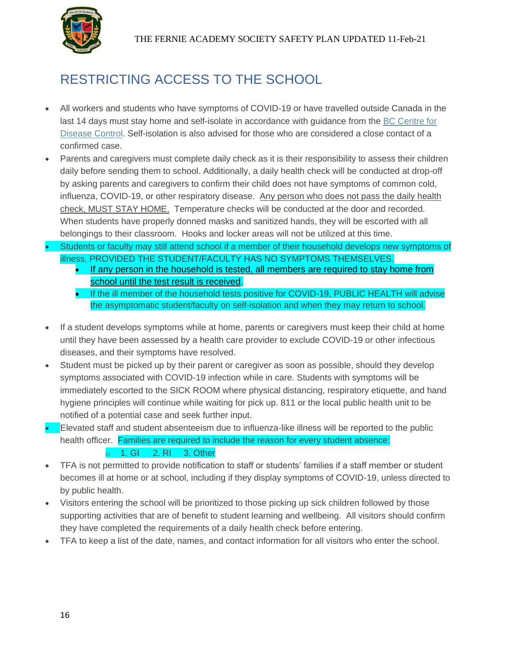

# <span id="page-15-0"></span>RESTRICTING ACCESS TO THE SCHOOL

- All workers and students who have symptoms of COVID-19 or have travelled outside Canada in the last 14 days must stay home and self-isolate in accordance with guidance from the [BC Centre for](http://www.bccdc.ca/health-info/diseases-conditions/covid-19/about-covid-19/if-you-are-sick)  [Disease Control.](http://www.bccdc.ca/health-info/diseases-conditions/covid-19/about-covid-19/if-you-are-sick) Self-isolation is also advised for those who are considered a close contact of a confirmed case.
- Parents and caregivers must complete daily check as it is their responsibility to assess their children daily before sending them to school. Additionally, a daily health check will be conducted at drop-off by asking parents and caregivers to confirm their child does not have symptoms of common cold, influenza, COVID-19, or other respiratory disease. Any person who does not pass the daily health check, MUST STAY HOME. Temperature checks will be conducted at the door and recorded. When students have properly donned masks and sanitized hands, they will be escorted with all belongings to their classroom. Hooks and locker areas will not be utilized at this time.
- Students or faculty may still attend school if a member of their household develops new symptoms of illness, PROVIDED THE STUDENT/FACULTY HAS NO SYMPTOMS THEMSELVES.
	- If any person in the household is tested, all members are required to stay home from school until the test result is received.
	- If the ill member of the household tests positive for COVID-19, PUBLIC HEALTH will advise the asymptomatic student/faculty on self-isolation and when they may return to school.
- If a student develops symptoms while at home, parents or caregivers must keep their child at home until they have been assessed by a health care provider to exclude COVID-19 or other infectious diseases, and their symptoms have resolved.
- Student must be picked up by their parent or caregiver as soon as possible, should they develop symptoms associated with COVID-19 infection while in care. Students with symptoms will be immediately escorted to the SICK ROOM where physical distancing, respiratory etiquette, and hand hygiene principles will continue while waiting for pick up. 811 or the local public health unit to be notified of a potential case and seek further input.
- Elevated staff and student absenteeism due to influenza-like illness will be reported to the public health officer. Families are required to include the reason for every student absence: o 1. GI 2. RI 3. Other
- TFA is not permitted to provide notification to staff or students' families if a staff member or student becomes ill at home or at school, including if they display symptoms of COVID-19, unless directed to by public health.
- Visitors entering the school will be prioritized to those picking up sick children followed by those supporting activities that are of benefit to student learning and wellbeing. All visitors should confirm they have completed the requirements of a daily health check before entering.
- TFA to keep a list of the date, names, and contact information for all visitors who enter the school.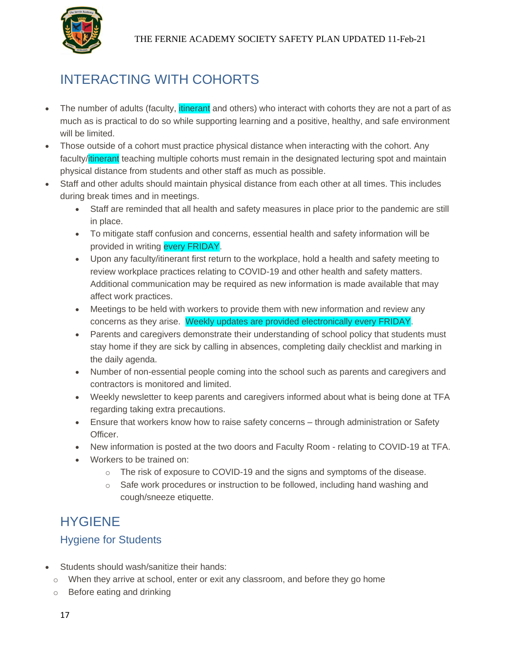

# <span id="page-16-0"></span>INTERACTING WITH COHORTS

- The number of adults (faculty, itinerant and others) who interact with cohorts they are not a part of as much as is practical to do so while supporting learning and a positive, healthy, and safe environment will be limited.
- Those outside of a cohort must practice physical distance when interacting with the cohort. Any faculty/itinerant teaching multiple cohorts must remain in the designated lecturing spot and maintain physical distance from students and other staff as much as possible.
- Staff and other adults should maintain physical distance from each other at all times. This includes during break times and in meetings.
	- Staff are reminded that all health and safety measures in place prior to the pandemic are still in place.
	- To mitigate staff confusion and concerns, essential health and safety information will be provided in writing every FRIDAY.
	- Upon any faculty/itinerant first return to the workplace, hold a health and safety meeting to review workplace practices relating to COVID-19 and other health and safety matters. Additional communication may be required as new information is made available that may affect work practices.
	- Meetings to be held with workers to provide them with new information and review any concerns as they arise. Weekly updates are provided electronically every FRIDAY.
	- Parents and caregivers demonstrate their understanding of school policy that students must stay home if they are sick by calling in absences, completing daily checklist and marking in the daily agenda.
	- Number of non-essential people coming into the school such as parents and caregivers and contractors is monitored and limited.
	- Weekly newsletter to keep parents and caregivers informed about what is being done at TFA regarding taking extra precautions.
	- Ensure that workers know how to raise safety concerns through administration or Safety Officer.
	- New information is posted at the two doors and Faculty Room relating to COVID-19 at TFA.
	- Workers to be trained on:
		- $\circ$  The risk of exposure to COVID-19 and the signs and symptoms of the disease.
		- $\circ$  Safe work procedures or instruction to be followed, including hand washing and cough/sneeze etiquette.

## <span id="page-16-1"></span>HYGIENE

### <span id="page-16-2"></span>Hygiene for Students

- Students should wash/sanitize their hands:
	- $\circ$  When they arrive at school, enter or exit any classroom, and before they go home
	- o Before eating and drinking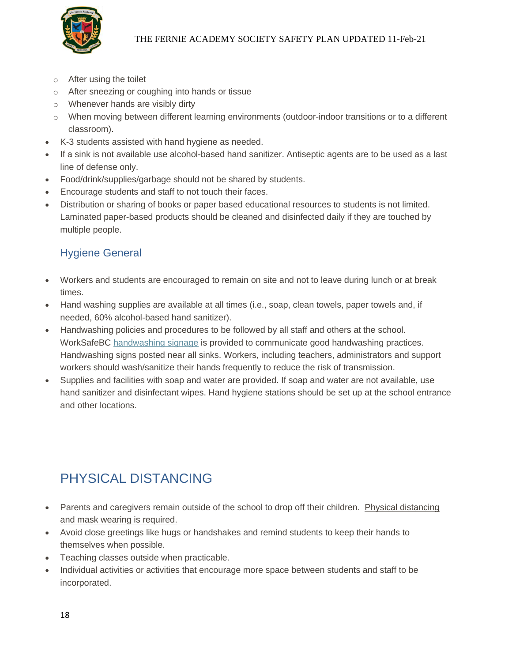

- o After using the toilet
- o After sneezing or coughing into hands or tissue
- o Whenever hands are visibly dirty
- o When moving between different learning environments (outdoor-indoor transitions or to a different classroom).
- K-3 students assisted with hand hygiene as needed.
- If a sink is not available use alcohol-based hand sanitizer. Antiseptic agents are to be used as a last line of defense only.
- Food/drink/supplies/garbage should not be shared by students.
- Encourage students and staff to not touch their faces.
- Distribution or sharing of books or paper based educational resources to students is not limited. Laminated paper-based products should be cleaned and disinfected daily if they are touched by multiple people.

### <span id="page-17-0"></span>Hygiene General

- Workers and students are encouraged to remain on site and not to leave during lunch or at break times.
- Hand washing supplies are available at all times (i.e., soap, clean towels, paper towels and, if needed, 60% alcohol-based hand sanitizer).
- Handwashing policies and procedures to be followed by all staff and others at the school. WorkSafeBC [handwashing signage](https://www.worksafebc.com/en/resources/health-safety/posters/help-prevent-spread-covid-19-handwashing?lang=en) is provided to communicate good handwashing practices. Handwashing signs posted near all sinks. Workers, including teachers, administrators and support workers should wash/sanitize their hands frequently to reduce the risk of transmission.
- Supplies and facilities with soap and water are provided. If soap and water are not available, use hand sanitizer and disinfectant wipes. Hand hygiene stations should be set up at the school entrance and other locations.

# <span id="page-17-1"></span>PHYSICAL DISTANCING

- Parents and caregivers remain outside of the school to drop off their children. Physical distancing and mask wearing is required.
- Avoid close greetings like hugs or handshakes and remind students to keep their hands to themselves when possible.
- Teaching classes outside when practicable.
- Individual activities or activities that encourage more space between students and staff to be incorporated.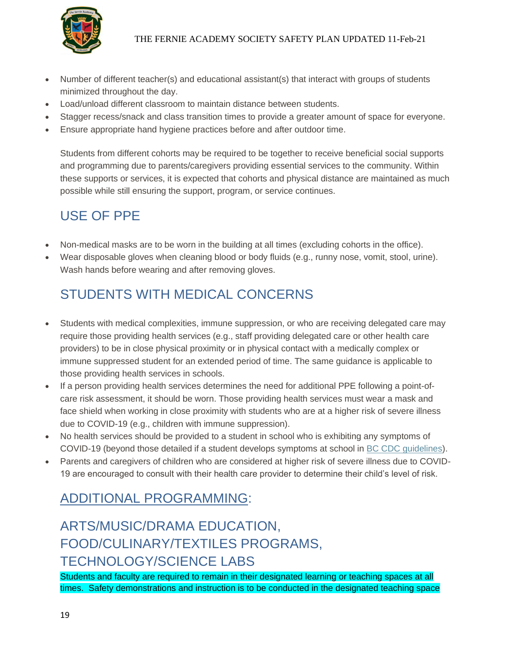

- Number of different teacher(s) and educational assistant(s) that interact with groups of students minimized throughout the day.
- Load/unload different classroom to maintain distance between students.
- Stagger recess/snack and class transition times to provide a greater amount of space for everyone.
- Ensure appropriate hand hygiene practices before and after outdoor time.

Students from different cohorts may be required to be together to receive beneficial social supports and programming due to parents/caregivers providing essential services to the community. Within these supports or services, it is expected that cohorts and physical distance are maintained as much possible while still ensuring the support, program, or service continues.

# <span id="page-18-0"></span>USE OF PPE

- Non-medical masks are to be worn in the building at all times (excluding cohorts in the office).
- Wear disposable gloves when cleaning blood or body fluids (e.g., runny nose, vomit, stool, urine). Wash hands before wearing and after removing gloves.

# <span id="page-18-1"></span>STUDENTS WITH MEDICAL CONCERNS

- Students with medical complexities, immune suppression, or who are receiving delegated care may require those providing health services (e.g., staff providing delegated care or other health care providers) to be in close physical proximity or in physical contact with a medically complex or immune suppressed student for an extended period of time. The same guidance is applicable to those providing health services in schools.
- If a person providing health services determines the need for additional PPE following a point-ofcare risk assessment, it should be worn. Those providing health services must wear a mask and face shield when working in close proximity with students who are at a higher risk of severe illness due to COVID-19 (e.g., children with immune suppression).
- No health services should be provided to a student in school who is exhibiting any symptoms of COVID-19 (beyond those detailed if a student develops symptoms at school in [BC CDC guidelines\)](http://www.bccdc.ca/Health-Info-Site/Documents/COVID_public_guidance/Guidance-k-12-schools.pdf).
- Parents and caregivers of children who are considered at higher risk of severe illness due to COVID-19 are encouraged to consult with their health care provider to determine their child's level of risk.

# <span id="page-18-2"></span>ADDITIONAL PROGRAMMING:

# <span id="page-18-3"></span>ARTS/MUSIC/DRAMA EDUCATION, FOOD/CULINARY/TEXTILES PROGRAMS, TECHNOLOGY/SCIENCE LABS

Students and faculty are required to remain in their designated learning or teaching spaces at all times. Safety demonstrations and instruction is to be conducted in the designated teaching space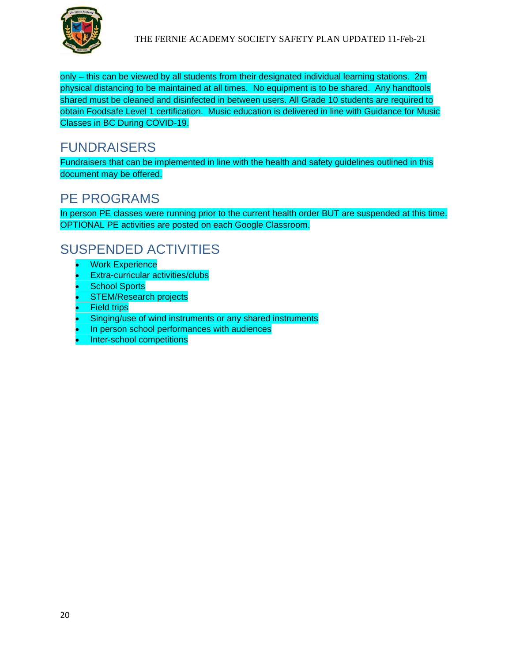

only – this can be viewed by all students from their designated individual learning stations. 2m physical distancing to be maintained at all times. No equipment is to be shared. Any handtools shared must be cleaned and disinfected in between users. All Grade 10 students are required to obtain Foodsafe Level 1 certification. Music education is delivered in line with Guidance for Music Classes in BC During COVID-19.

### <span id="page-19-0"></span>FUNDRAISERS

Fundraisers that can be implemented in line with the health and safety guidelines outlined in this document may be offered.

## <span id="page-19-1"></span>PE PROGRAMS

In person PE classes were running prior to the current health order BUT are suspended at this time. OPTIONAL PE activities are posted on each Google Classroom.

# <span id="page-19-2"></span>SUSPENDED ACTIVITIES

- **Work Experience**
- Extra-curricular activities/clubs
- **School Sports**
- **STEM/Research projects**
- **Field trips**
- Singing/use of wind instruments or any shared instruments
- In person school performances with audiences
- Inter-school competitions